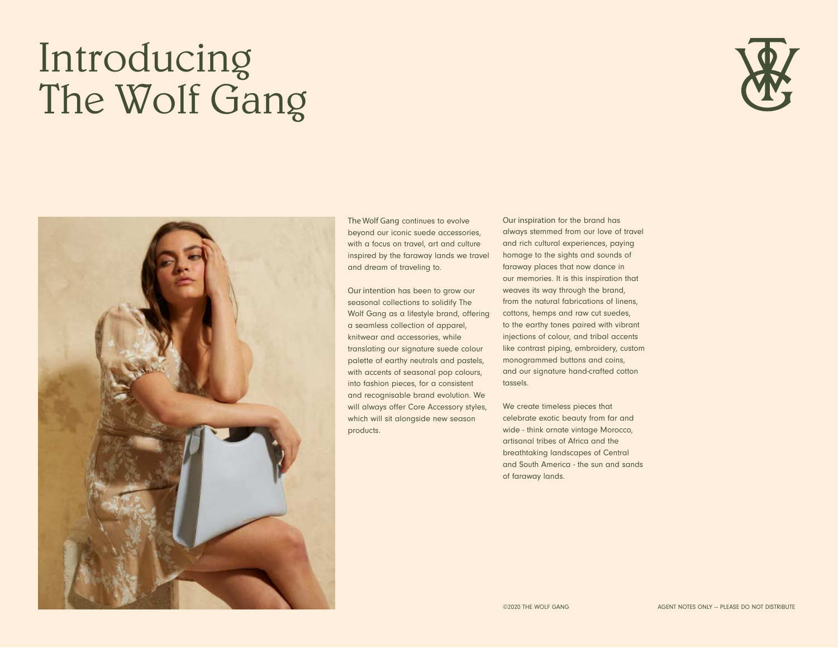## Introducing The Wolf Gang





The Wolf Gang continues to evolve beyond our iconic suede accessories, with a focus on travel, art and culture inspired by the faraway lands we travel and dream of traveling to.

Our intention has been to grow our seasonal collections to solidify The Wolf Gang as a lifestyle brand, offering a seamless collection of apparel, knitwear and accessories, while translating our signature suede colour palette of earthy neutrals and pastels, with accents of seasonal pop colours, into fashion pieces, for a consistent and recognisable brand evolution. We will always offer Core Accessory styles, which will sit alongside new season products.

Our inspiration for the brand has always stemmed from our love of travel and rich cultural experiences, paying homage to the sights and sounds of faraway places that now dance in our memories. It is this inspiration that weaves its way through the brand, from the natural fabrications of linens, cottons, hemps and raw cut suedes, to the earthy tones paired with vibrant injections of colour, and tribal accents like contrast piping, embroidery, custom monogrammed buttons and coins, and our signature hand-crafted cotton tassels.

We create timeless pieces that celebrate exotic beauty from far and wide - think ornate vintage Morocco, artisanal tribes of Africa and the breathtaking landscapes of Central and South America - the sun and sands of faraway lands.